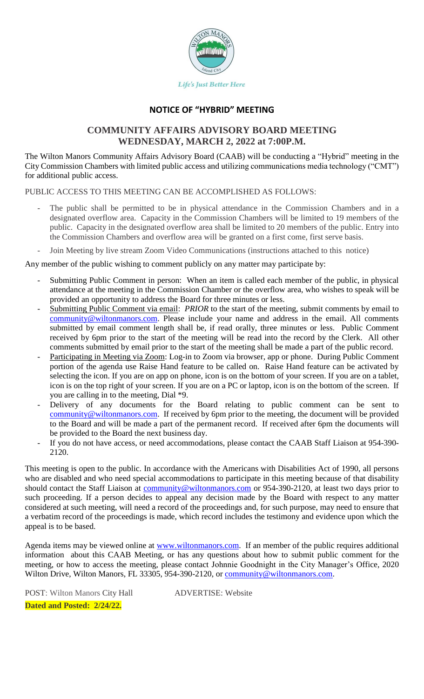

## **NOTICE OF "HYBRID" MEETING**

# **COMMUNITY AFFAIRS ADVISORY BOARD MEETING WEDNESDAY, MARCH 2, 2022 at 7:00P.M.**

The Wilton Manors Community Affairs Advisory Board (CAAB) will be conducting a "Hybrid" meeting in the City Commission Chambers with limited public access and utilizing communications media technology ("CMT") for additional public access.

PUBLIC ACCESS TO THIS MEETING CAN BE ACCOMPLISHED AS FOLLOWS:

- The public shall be permitted to be in physical attendance in the Commission Chambers and in a designated overflow area. Capacity in the Commission Chambers will be limited to 19 members of the public. Capacity in the designated overflow area shall be limited to 20 members of the public. Entry into the Commission Chambers and overflow area will be granted on a first come, first serve basis.
- Join Meeting by live stream Zoom Video Communications (instructions attached to this notice)

Any member of the public wishing to comment publicly on any matter may participate by:

- Submitting Public Comment in person: When an item is called each member of the public, in physical attendance at the meeting in the Commission Chamber or the overflow area, who wishes to speak will be provided an opportunity to address the Board for three minutes or less.
- Submitting Public Comment via email: *PRIOR* to the start of the meeting, submit comments by email to [community@wiltonmanors.com.](mailto:community@wiltonmanors.com) Please include your name and address in the email. All comments submitted by email comment length shall be, if read orally, three minutes or less. Public Comment received by 6pm prior to the start of the meeting will be read into the record by the Clerk. All other comments submitted by email prior to the start of the meeting shall be made a part of the public record.
- Participating in Meeting via Zoom: Log-in to Zoom via browser, app or phone. During Public Comment portion of the agenda use Raise Hand feature to be called on. Raise Hand feature can be activated by selecting the icon. If you are on app on phone, icon is on the bottom of your screen. If you are on a tablet, icon is on the top right of your screen. If you are on a PC or laptop, icon is on the bottom of the screen. If you are calling in to the meeting, Dial \*9.
- Delivery of any documents for the Board relating to public comment can be sent to [community@wiltonmanors.com.](mailto:community@wiltonmanors.com) If received by 6pm prior to the meeting, the document will be provided to the Board and will be made a part of the permanent record. If received after 6pm the documents will be provided to the Board the next business day.
- If you do not have access, or need accommodations, please contact the CAAB Staff Liaison at 954-390-2120.

This meeting is open to the public. In accordance with the Americans with Disabilities Act of 1990, all persons who are disabled and who need special accommodations to participate in this meeting because of that disability should contact the Staff Liaison at [community@wiltonmanors.com](mailto:community@wiltonmanors.com) or 954-390-2120, at least two days prior to such proceeding. If a person decides to appeal any decision made by the Board with respect to any matter considered at such meeting, will need a record of the proceedings and, for such purpose, may need to ensure that a verbatim record of the proceedings is made, which record includes the testimony and evidence upon which the appeal is to be based.

Agenda items may be viewed online at [www.wiltonmanors.com.](http://www.wiltonmanors.com/) If an member of the public requires additional information about this CAAB Meeting, or has any questions about how to submit public comment for the meeting, or how to access the meeting, please contact Johnnie Goodnight in the City Manager's Office, 2020 Wilton Drive, Wilton Manors, FL 33305, 954-390-2120, or [community@wiltonmanors.com.](mailto:community@wiltonmanors.com)

POST: Wilton Manors City Hall ADVERTISE: Website **Dated and Posted: 2/24/22.**